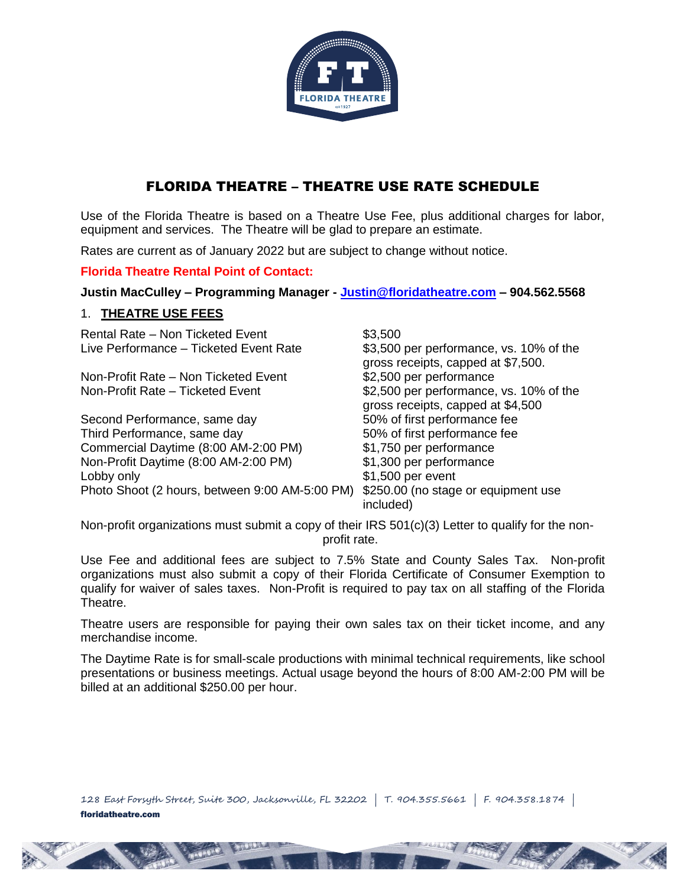

# FLORIDA THEATRE – THEATRE USE RATE SCHEDULE

Use of the Florida Theatre is based on a Theatre Use Fee, plus additional charges for labor, equipment and services. The Theatre will be glad to prepare an estimate.

Rates are current as of January 2022 but are subject to change without notice.

### **Florida Theatre Rental Point of Contact:**

**Justin MacCulley – Programming Manager - [Justin@floridatheatre.com](mailto:Justin@floridatheatre.com) – 904.562.5568** 

### 1. **THEATRE USE FEES**

Rental Rate – Non Ticketed Event **\$3,500** Live Performance – Ticketed Event Rate \$3,500 per performance, vs. 10% of the

Non-Profit Rate – Non Ticketed Event \$2,500 per performance

Second Performance, same day Third Performance, same day 50% of first performance fee Commercial Daytime (8:00 AM-2:00 PM)  $$1,750$  per performance<br>Non-Profit Daytime (8:00 AM-2:00 PM)  $$1,300$  per performance Non-Profit Daytime (8:00 AM-2:00 PM) Lobby only extended to the set of the set of the set of the set of the set of the set of the set of the set of the set of the set of the set of the set of the set of the set of the set of the set of the set of the set of t Photo Shoot (2 hours, between 9:00 AM-5:00 PM) \$250.00 (no stage or equipment use

gross receipts, capped at \$7,500. Non-Profit Rate – Ticketed Event \$2,500 per performance, vs. 10% of the gross receipts, capped at \$4,500<br>50% of first performance fee included)

Non-profit organizations must submit a copy of their IRS 501(c)(3) Letter to qualify for the nonprofit rate.

Use Fee and additional fees are subject to 7.5% State and County Sales Tax. Non-profit organizations must also submit a copy of their Florida Certificate of Consumer Exemption to qualify for waiver of sales taxes. Non-Profit is required to pay tax on all staffing of the Florida Theatre.

Theatre users are responsible for paying their own sales tax on their ticket income, and any merchandise income.

The Daytime Rate is for small-scale productions with minimal technical requirements, like school presentations or business meetings. Actual usage beyond the hours of 8:00 AM-2:00 PM will be billed at an additional \$250.00 per hour.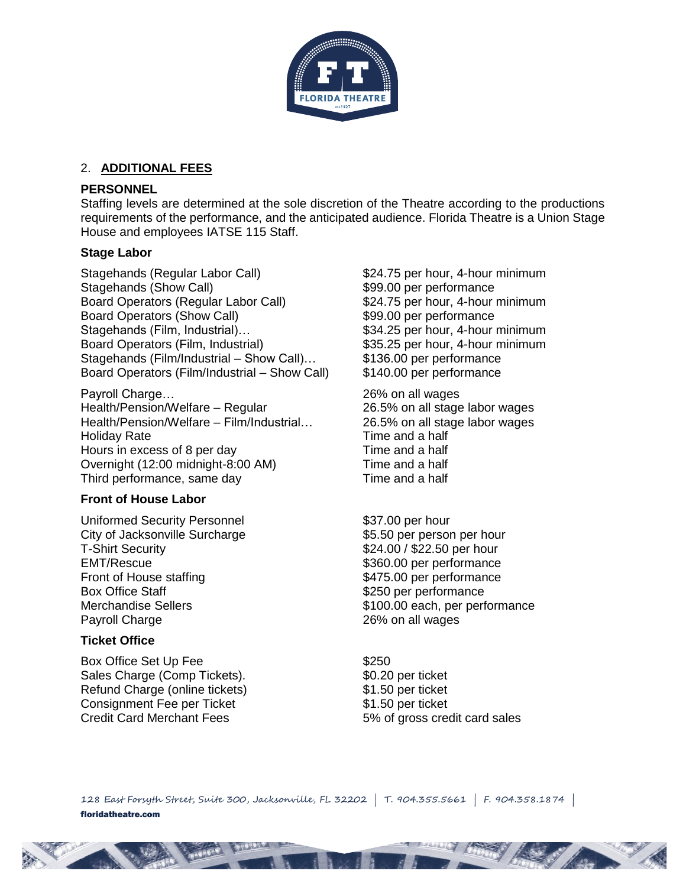

### 2. **ADDITIONAL FEES**

### **PERSONNEL**

Staffing levels are determined at the sole discretion of the Theatre according to the productions requirements of the performance, and the anticipated audience. Florida Theatre is a Union Stage House and employees IATSE 115 Staff.

### **Stage Labor**

Stagehands (Regular Labor Call) \$24.75 per hour, 4-hour minimum Stagehands (Show Call)  $$99.00$  per performance Board Operators (Regular Labor Call) \$24.75 per hour, 4-hour minimum Board Operators (Show Call) \$99.00 per performance Stagehands (Film, Industrial)… \$34.25 per hour, 4-hour minimum Board Operators (Film, Industrial) \$35.25 per hour, 4-hour minimum Stagehands (Film/Industrial – Show Call)… \$136.00 per performance Board Operators (Film/Industrial – Show Call) \$140.00 per performance

Payroll Charge… 26% on all wages Health/Pension/Welfare – Regular 26.5% on all stage labor wages Health/Pension/Welfare – Film/Industrial… 26.5% on all stage labor wages Holiday Rate **Time and a half** Hours in excess of 8 per day Time and a half Overnight (12:00 midnight-8:00 AM) Time and a half Third performance, same day Time and a half

# **Front of House Labor**

Uniformed Security Personnel  $$37.00$  per hour City of Jacksonville Surcharge<br>
T-Shirt Security<br>  $$24.00 / $22.50$  per hour<br>
\$24.00 / \$22.50 per hour EMT/Rescue  $$360.00$  per performance<br>Front of House staffing  $$475.00$  per performance Front of House staffing<br>Box Office Staff Staff Staff Staff Staff Staff Staff Staff Staff Staff Staff Staff Staff Staff Staff Staff Staff Staff Staff Staff Staff Staff Staff Staff Staff Staff Staff Staff Staff Staff Staff S Payroll Charge 26% on all wages

# **Ticket Office**

Box Office Set Up Fee  $$250$ Sales Charge (Comp Tickets). \$0.20 per ticket Refund Charge (online tickets) \$1.50 per ticket Consignment Fee per Ticket **\$1.50 per ticket** Credit Card Merchant Fees 5% of gross credit card sales

\$24.00 / \$22.50 per hour \$250 per performance Merchandise Sellers **\$100.00 each, per performance** 

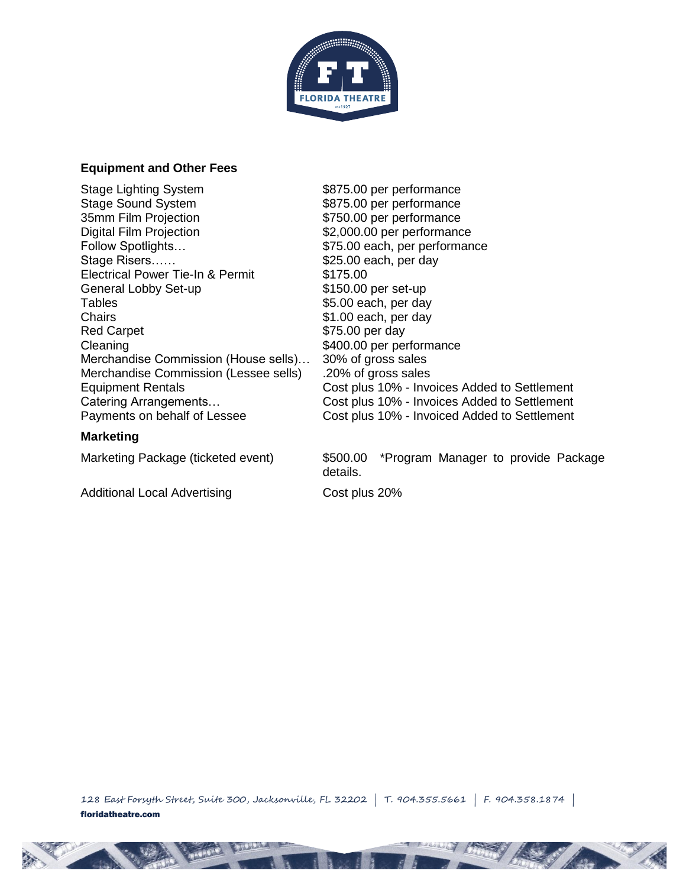

#### **Equipment and Other Fees**

Stage Lighting System  $$875.00$  per performance<br>Stage Sound System  $$875.00$  per performance Stage Sound System  $$875.00$  per performance<br>35mm Film Projection  $$750.00$  per performance Digital Film Projection  $$2,000.00$  per performance Follow Spotlights...  $$75.00$  each, per performance Stage Risers…… between the stage S25.00 each, per day Electrical Power Tie-In & Permit \$175.00 General Lobby Set-up \$150.00 per set-up Tables  $$5.00$  each, per day Chairs **61.00 each, per day** Red Carpet **\$75.00 per day** Cleaning  $$400.00$  per performance Merchandise Commission (House sells)… 30% of gross sales Merchandise Commission (Lessee sells) .20% of gross sales

### **Marketing**

\$750.00 per performance Equipment Rentals Cost plus 10% - Invoices Added to Settlement Catering Arrangements… Cost plus 10% - Invoices Added to Settlement Payments on behalf of Lessee Cost plus 10% - Invoiced Added to Settlement

Marketing Package (ticketed event) \$500.00 \*Program Manager to provide Package details.

Additional Local Advertising Cost plus 20%